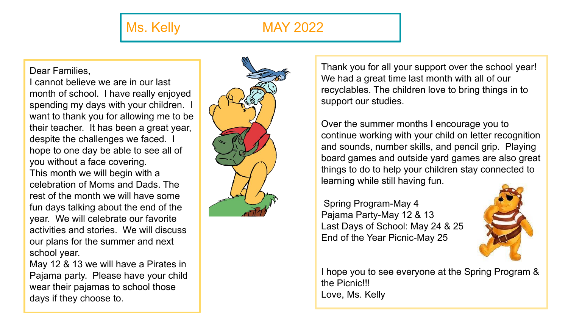## Ms. Kelly MAY 2022

## Dear Families,

I cannot believe we are in our last month of school. I have really enjoyed spending my days with your children. I want to thank you for allowing me to be their teacher. It has been a great year, despite the challenges we faced. I hope to one day be able to see all of you without a face covering. This month we will begin with a celebration of Moms and Dads. The rest of the month we will have some fun days talking about the end of the year. We will celebrate our favorite activities and stories. We will discuss our plans for the summer and next school year.

May 12 & 13 we will have a Pirates in Pajama party. Please have your child wear their pajamas to school those days if they choose to.



Thank you for all your support over the school year! We had a great time last month with all of our recyclables. The children love to bring things in to support our studies.

Over the summer months I encourage you to continue working with your child on letter recognition and sounds, number skills, and pencil grip. Playing board games and outside yard games are also great things to do to help your children stay connected to learning while still having fun.

 Spring Program-May 4 Pajama Party-May 12 & 13 Last Days of School: May 24 & 25 End of the Year Picnic-May 25



I hope you to see everyone at the Spring Program & the Picnic!!! Love, Ms. Kelly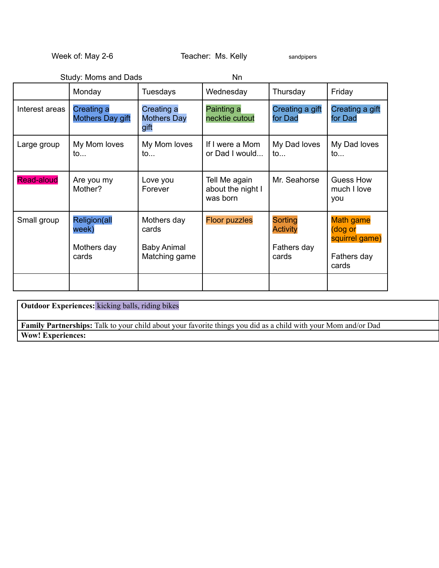Week of: May 2-6 Teacher: Ms. Kelly sandpipers

|                   | Study: Moms and Dads                          |                                                             | Nn                                             |                                                           |                                                                       |
|-------------------|-----------------------------------------------|-------------------------------------------------------------|------------------------------------------------|-----------------------------------------------------------|-----------------------------------------------------------------------|
|                   | Monday                                        | <b>Tuesdays</b>                                             | Wednesday                                      | Thursday                                                  | Friday                                                                |
| Interest areas    | Creating a<br>Mothers Day gift                | Creating a<br><b>Mothers Day</b><br>gift                    | Painting a<br>necktie cutout                   | Creating a gift<br>for Dad                                | Creating a gift<br>for Dad                                            |
| Large group       | My Mom loves<br>to                            | My Mom loves<br>to                                          | If I were a Mom<br>or Dad I would              | My Dad loves<br>$\mathsf{to}$                             | My Dad loves<br>$\mathsf{to}$                                         |
| <b>Read-aloud</b> | Are you my<br>Mother?                         | Love you<br>Forever                                         | Tell Me again<br>about the night I<br>was born | Mr. Seahorse                                              | <b>Guess How</b><br>much I love<br>you                                |
| Small group       | Religion(all<br>week)<br>Mothers day<br>cards | Mothers day<br>cards<br><b>Baby Animal</b><br>Matching game | <b>Floor puzzles</b>                           | <b>Sorting</b><br><b>Activity</b><br>Fathers day<br>cards | <b>Math game</b><br>(dog or<br>squirrel game)<br>Fathers day<br>cards |
|                   |                                               |                                                             |                                                |                                                           |                                                                       |

**Outdoor Experiences:** kicking balls, riding bikes **Family Partnerships:** Talk to your child about your favorite things you did as a child with your Mom and/or Dad **Wow! Experiences:**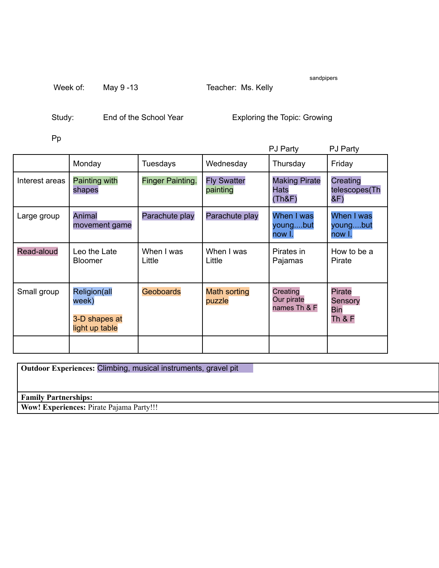| Week of:<br>May 9 -13 |  | Teacher: Ms. Kelly |
|-----------------------|--|--------------------|
|-----------------------|--|--------------------|

sandpipers

Study: End of the School Year Exploring the Topic: Growing

Pp

|                |                                                          |                         |                                | PJ Party                               | <b>PJ Party</b>                                      |
|----------------|----------------------------------------------------------|-------------------------|--------------------------------|----------------------------------------|------------------------------------------------------|
|                | Monday                                                   | Tuesdays                | Wednesday                      | Thursday                               | Friday                                               |
| Interest areas | Painting with<br>shapes                                  | <b>Finger Painting.</b> | <b>Fly Swatter</b><br>painting | <b>Making Pirate</b><br>Hats<br>(Th&F) | Creating<br>telescopes(Th<br>&F)                     |
| Large group    | Animal<br>movement game                                  | Parachute play          | Parachute play                 | When I was<br>youngbut<br>now I.       | When I was<br>youngbut<br>now I.                     |
| Read-aloud     | Leo the Late<br><b>Bloomer</b>                           | When I was<br>Little    | When I was<br>Little           | Pirates in<br>Pajamas                  | How to be a<br>Pirate                                |
| Small group    | Religion(all<br>week)<br>3-D shapes at<br>light up table | <b>Geoboards</b>        | <b>Math sorting</b><br>puzzle  | Creating<br>Our pirate<br>names Th & F | <b>Pirate</b><br>Sensory<br>Bin<br><b>Th &amp; F</b> |
|                |                                                          |                         |                                |                                        |                                                      |

**Outdoor Experiences:** Climbing, musical instruments, gravel pit

**Family Partnerships:**

**Wow! Experiences:** Pirate Pajama Party!!!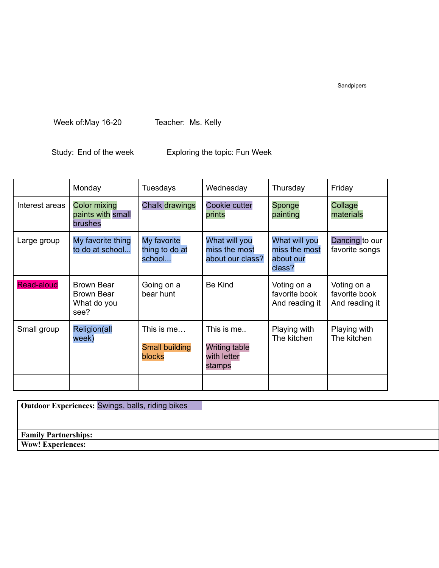Sandpipers

Week of:May 16-20 Teacher: Ms. Kelly

Study: End of the week Exploring the topic: Fun Week

|                   | Monday                                                        | Tuesdays                                      | Wednesday                                                   | Thursday                                              | Friday                                         |
|-------------------|---------------------------------------------------------------|-----------------------------------------------|-------------------------------------------------------------|-------------------------------------------------------|------------------------------------------------|
| Interest areas    | <b>Color mixing</b><br>paints with small<br>brushes           | <b>Chalk drawings</b>                         | Cookie cutter<br>prints                                     | Sponge<br>painting                                    | Collage<br>materials                           |
| Large group       | My favorite thing<br>to do at school                          | My favorite<br>thing to do at<br>school       | What will you<br>miss the most<br>about our class?          | What will you<br>miss the most<br>about our<br>class? | Dancing to our<br>favorite songs               |
| <b>Read-aloud</b> | <b>Brown Bear</b><br><b>Brown Bear</b><br>What do you<br>see? | Going on a<br>bear hunt                       | <b>Be Kind</b>                                              | Voting on a<br>favorite book<br>And reading it        | Voting on a<br>favorite book<br>And reading it |
| Small group       | Religion(all<br>week)                                         | This is me<br><b>Small building</b><br>blocks | This is me<br><b>Writing table</b><br>with letter<br>stamps | Playing with<br>The kitchen                           | Playing with<br>The kitchen                    |
|                   |                                                               |                                               |                                                             |                                                       |                                                |

| <b>Outdoor Experiences: Swings, balls, riding bikes</b> |  |
|---------------------------------------------------------|--|
|                                                         |  |
| <b>Family Partnerships:</b>                             |  |
| <b>Wow! Experiences:</b>                                |  |